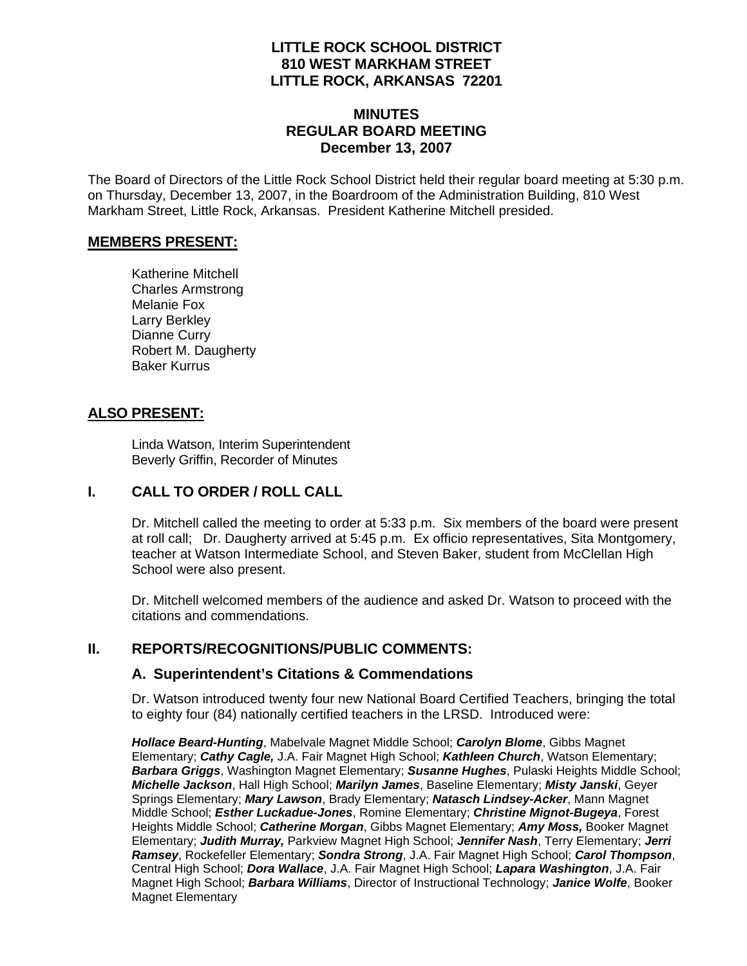### **LITTLE ROCK SCHOOL DISTRICT 810 WEST MARKHAM STREET LITTLE ROCK, ARKANSAS 72201**

### **MINUTES REGULAR BOARD MEETING December 13, 2007**

The Board of Directors of the Little Rock School District held their regular board meeting at 5:30 p.m. on Thursday, December 13, 2007, in the Boardroom of the Administration Building, 810 West Markham Street, Little Rock, Arkansas. President Katherine Mitchell presided.

#### **MEMBERS PRESENT:**

Katherine Mitchell Charles Armstrong Melanie Fox Larry Berkley Dianne Curry Robert M. Daugherty Baker Kurrus

### **ALSO PRESENT:**

 Linda Watson, Interim Superintendent Beverly Griffin, Recorder of Minutes

### **I. CALL TO ORDER / ROLL CALL**

Dr. Mitchell called the meeting to order at 5:33 p.m. Six members of the board were present at roll call; Dr. Daugherty arrived at 5:45 p.m. Ex officio representatives, Sita Montgomery, teacher at Watson Intermediate School, and Steven Baker, student from McClellan High School were also present.

Dr. Mitchell welcomed members of the audience and asked Dr. Watson to proceed with the citations and commendations.

### **II. REPORTS/RECOGNITIONS/PUBLIC COMMENTS:**

#### **A. Superintendent's Citations & Commendations**

Dr. Watson introduced twenty four new National Board Certified Teachers, bringing the total to eighty four (84) nationally certified teachers in the LRSD. Introduced were:

*Hollace Beard-Hunting*, Mabelvale Magnet Middle School; *Carolyn Blome*, Gibbs Magnet Elementary; *Cathy Cagle,* J.A. Fair Magnet High School; *Kathleen Church*, Watson Elementary; *Barbara Griggs*, Washington Magnet Elementary; *Susanne Hughes*, Pulaski Heights Middle School; *Michelle Jackson*, Hall High School; *Marilyn James*, Baseline Elementary; *Misty Janski*, Geyer Springs Elementary; *Mary Lawson*, Brady Elementary; *Natasch Lindsey-Acker*, Mann Magnet Middle School; *Esther Luckadue-Jones*, Romine Elementary; *Christine Mignot-Bugeya*, Forest Heights Middle School; *Catherine Morgan*, Gibbs Magnet Elementary; *Amy Moss,* Booker Magnet Elementary; *Judith Murray,* Parkview Magnet High School; *Jennifer Nash*, Terry Elementary; *Jerri Ramsey*, Rockefeller Elementary; *Sondra Strong*, J.A. Fair Magnet High School; *Carol Thompson*, Central High School; *Dora Wallace*, J.A. Fair Magnet High School; *Lapara Washington*, J.A. Fair Magnet High School; *Barbara Williams*, Director of Instructional Technology; *Janice Wolfe*, Booker Magnet Elementary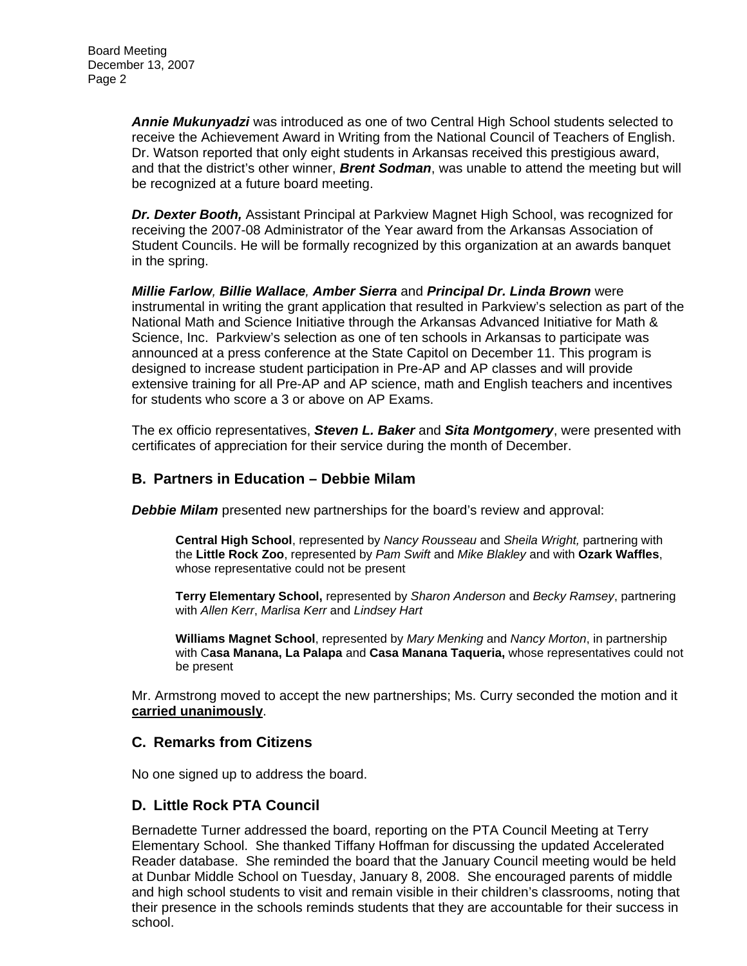*Annie Mukunyadzi* was introduced as one of two Central High School students selected to receive the Achievement Award in Writing from the National Council of Teachers of English. Dr. Watson reported that only eight students in Arkansas received this prestigious award, and that the district's other winner, *Brent Sodman*, was unable to attend the meeting but will be recognized at a future board meeting.

*Dr. Dexter Booth,* Assistant Principal at Parkview Magnet High School, was recognized for receiving the 2007-08 Administrator of the Year award from the Arkansas Association of Student Councils. He will be formally recognized by this organization at an awards banquet in the spring.

*Millie Farlow, Billie Wallace, Amber Sierra* and *Principal Dr. Linda Brown* were instrumental in writing the grant application that resulted in Parkview's selection as part of the National Math and Science Initiative through the Arkansas Advanced Initiative for Math & Science, Inc. Parkview's selection as one of ten schools in Arkansas to participate was announced at a press conference at the State Capitol on December 11. This program is designed to increase student participation in Pre-AP and AP classes and will provide extensive training for all Pre-AP and AP science, math and English teachers and incentives for students who score a 3 or above on AP Exams.

The ex officio representatives, *Steven L. Baker* and *Sita Montgomery*, were presented with certificates of appreciation for their service during the month of December.

### **B. Partners in Education – Debbie Milam**

*Debbie Milam* presented new partnerships for the board's review and approval:

**Central High School**, represented by *Nancy Rousseau* and *Sheila Wright,* partnering with the **Little Rock Zoo**, represented by *Pam Swift* and *Mike Blakley* and with **Ozark Waffles**, whose representative could not be present

**Terry Elementary School,** represented by *Sharon Anderson* and *Becky Ramsey*, partnering with *Allen Kerr*, *Marlisa Kerr* and *Lindsey Hart* 

**Williams Magnet School**, represented by *Mary Menking* and *Nancy Morton*, in partnership with C**asa Manana, La Palapa** and **Casa Manana Taqueria,** whose representatives could not be present

Mr. Armstrong moved to accept the new partnerships; Ms. Curry seconded the motion and it **carried unanimously**.

#### **C. Remarks from Citizens**

No one signed up to address the board.

### **D. Little Rock PTA Council**

Bernadette Turner addressed the board, reporting on the PTA Council Meeting at Terry Elementary School. She thanked Tiffany Hoffman for discussing the updated Accelerated Reader database. She reminded the board that the January Council meeting would be held at Dunbar Middle School on Tuesday, January 8, 2008. She encouraged parents of middle and high school students to visit and remain visible in their children's classrooms, noting that their presence in the schools reminds students that they are accountable for their success in school.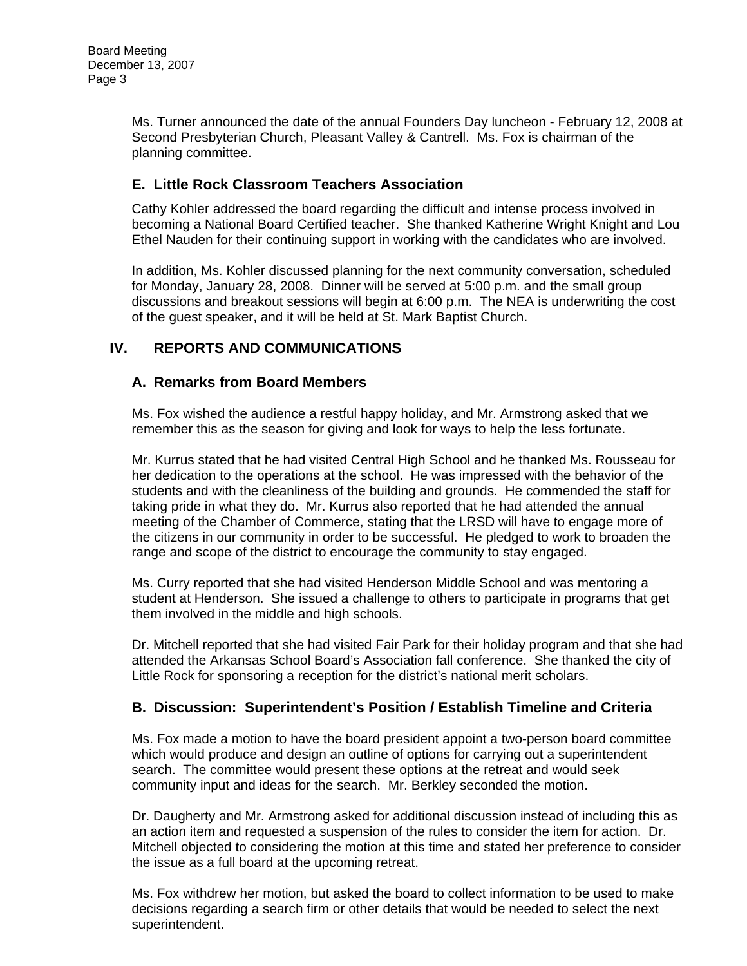Ms. Turner announced the date of the annual Founders Day luncheon - February 12, 2008 at Second Presbyterian Church, Pleasant Valley & Cantrell. Ms. Fox is chairman of the planning committee.

# **E. Little Rock Classroom Teachers Association**

Cathy Kohler addressed the board regarding the difficult and intense process involved in becoming a National Board Certified teacher. She thanked Katherine Wright Knight and Lou Ethel Nauden for their continuing support in working with the candidates who are involved.

In addition, Ms. Kohler discussed planning for the next community conversation, scheduled for Monday, January 28, 2008. Dinner will be served at 5:00 p.m. and the small group discussions and breakout sessions will begin at 6:00 p.m. The NEA is underwriting the cost of the guest speaker, and it will be held at St. Mark Baptist Church.

# **IV. REPORTS AND COMMUNICATIONS**

## **A. Remarks from Board Members**

Ms. Fox wished the audience a restful happy holiday, and Mr. Armstrong asked that we remember this as the season for giving and look for ways to help the less fortunate.

Mr. Kurrus stated that he had visited Central High School and he thanked Ms. Rousseau for her dedication to the operations at the school. He was impressed with the behavior of the students and with the cleanliness of the building and grounds. He commended the staff for taking pride in what they do. Mr. Kurrus also reported that he had attended the annual meeting of the Chamber of Commerce, stating that the LRSD will have to engage more of the citizens in our community in order to be successful. He pledged to work to broaden the range and scope of the district to encourage the community to stay engaged.

Ms. Curry reported that she had visited Henderson Middle School and was mentoring a student at Henderson. She issued a challenge to others to participate in programs that get them involved in the middle and high schools.

Dr. Mitchell reported that she had visited Fair Park for their holiday program and that she had attended the Arkansas School Board's Association fall conference. She thanked the city of Little Rock for sponsoring a reception for the district's national merit scholars.

# **B. Discussion: Superintendent's Position / Establish Timeline and Criteria**

Ms. Fox made a motion to have the board president appoint a two-person board committee which would produce and design an outline of options for carrying out a superintendent search. The committee would present these options at the retreat and would seek community input and ideas for the search. Mr. Berkley seconded the motion.

Dr. Daugherty and Mr. Armstrong asked for additional discussion instead of including this as an action item and requested a suspension of the rules to consider the item for action. Dr. Mitchell objected to considering the motion at this time and stated her preference to consider the issue as a full board at the upcoming retreat.

Ms. Fox withdrew her motion, but asked the board to collect information to be used to make decisions regarding a search firm or other details that would be needed to select the next superintendent.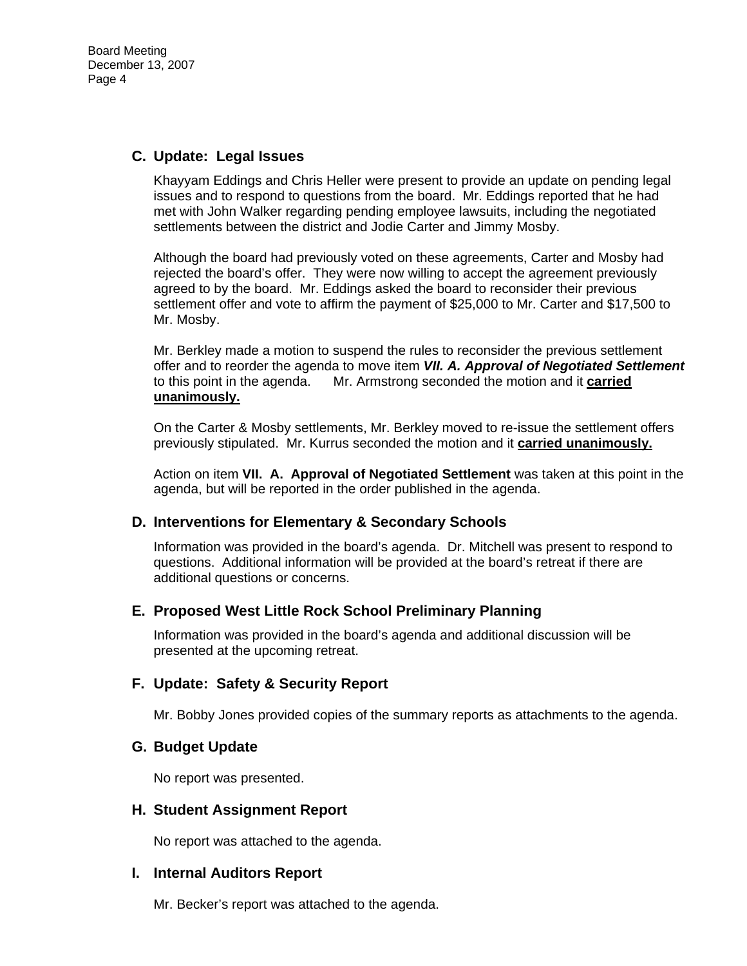Board Meeting December 13, 2007 Page 4

#### **C. Update: Legal Issues**

Khayyam Eddings and Chris Heller were present to provide an update on pending legal issues and to respond to questions from the board. Mr. Eddings reported that he had met with John Walker regarding pending employee lawsuits, including the negotiated settlements between the district and Jodie Carter and Jimmy Mosby.

Although the board had previously voted on these agreements, Carter and Mosby had rejected the board's offer. They were now willing to accept the agreement previously agreed to by the board. Mr. Eddings asked the board to reconsider their previous settlement offer and vote to affirm the payment of \$25,000 to Mr. Carter and \$17,500 to Mr. Mosby.

Mr. Berkley made a motion to suspend the rules to reconsider the previous settlement offer and to reorder the agenda to move item *VII. A. Approval of Negotiated Settlement*  to this point in the agenda. Mr. Armstrong seconded the motion and it **carried unanimously.**

On the Carter & Mosby settlements, Mr. Berkley moved to re-issue the settlement offers previously stipulated. Mr. Kurrus seconded the motion and it **carried unanimously.**

Action on item **VII. A. Approval of Negotiated Settlement** was taken at this point in the agenda, but will be reported in the order published in the agenda.

#### **D. Interventions for Elementary & Secondary Schools**

Information was provided in the board's agenda. Dr. Mitchell was present to respond to questions. Additional information will be provided at the board's retreat if there are additional questions or concerns.

#### **E. Proposed West Little Rock School Preliminary Planning**

Information was provided in the board's agenda and additional discussion will be presented at the upcoming retreat.

#### **F. Update: Safety & Security Report**

Mr. Bobby Jones provided copies of the summary reports as attachments to the agenda.

#### **G. Budget Update**

No report was presented.

#### **H. Student Assignment Report**

No report was attached to the agenda.

#### **I. Internal Auditors Report**

Mr. Becker's report was attached to the agenda.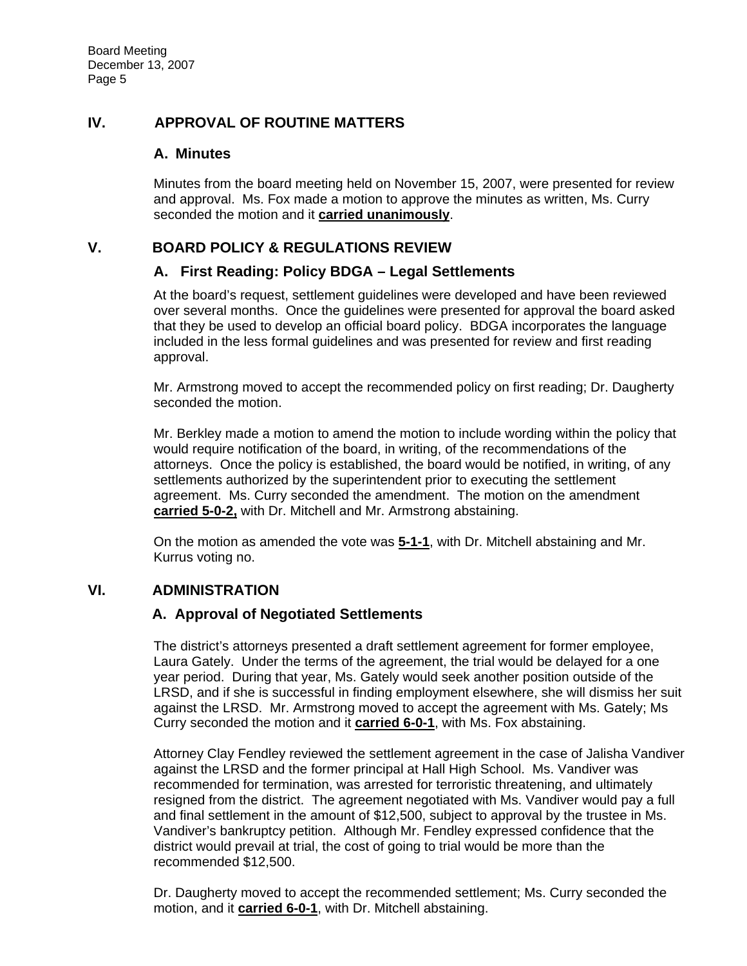### **IV. APPROVAL OF ROUTINE MATTERS**

### **A. Minutes**

Minutes from the board meeting held on November 15, 2007, were presented for review and approval. Ms. Fox made a motion to approve the minutes as written, Ms. Curry seconded the motion and it **carried unanimously**.

### **V. BOARD POLICY & REGULATIONS REVIEW**

#### **A. First Reading: Policy BDGA – Legal Settlements**

At the board's request, settlement guidelines were developed and have been reviewed over several months. Once the guidelines were presented for approval the board asked that they be used to develop an official board policy. BDGA incorporates the language included in the less formal guidelines and was presented for review and first reading approval.

Mr. Armstrong moved to accept the recommended policy on first reading; Dr. Daugherty seconded the motion.

Mr. Berkley made a motion to amend the motion to include wording within the policy that would require notification of the board, in writing, of the recommendations of the attorneys. Once the policy is established, the board would be notified, in writing, of any settlements authorized by the superintendent prior to executing the settlement agreement. Ms. Curry seconded the amendment. The motion on the amendment **carried 5-0-2,** with Dr. Mitchell and Mr. Armstrong abstaining.

On the motion as amended the vote was **5-1-1**, with Dr. Mitchell abstaining and Mr. Kurrus voting no.

### **VI. ADMINISTRATION**

### **A. Approval of Negotiated Settlements**

The district's attorneys presented a draft settlement agreement for former employee, Laura Gately. Under the terms of the agreement, the trial would be delayed for a one year period. During that year, Ms. Gately would seek another position outside of the LRSD, and if she is successful in finding employment elsewhere, she will dismiss her suit against the LRSD. Mr. Armstrong moved to accept the agreement with Ms. Gately; Ms Curry seconded the motion and it **carried 6-0-1**, with Ms. Fox abstaining.

Attorney Clay Fendley reviewed the settlement agreement in the case of Jalisha Vandiver against the LRSD and the former principal at Hall High School. Ms. Vandiver was recommended for termination, was arrested for terroristic threatening, and ultimately resigned from the district. The agreement negotiated with Ms. Vandiver would pay a full and final settlement in the amount of \$12,500, subject to approval by the trustee in Ms. Vandiver's bankruptcy petition. Although Mr. Fendley expressed confidence that the district would prevail at trial, the cost of going to trial would be more than the recommended \$12,500.

Dr. Daugherty moved to accept the recommended settlement; Ms. Curry seconded the motion, and it **carried 6-0-1**, with Dr. Mitchell abstaining.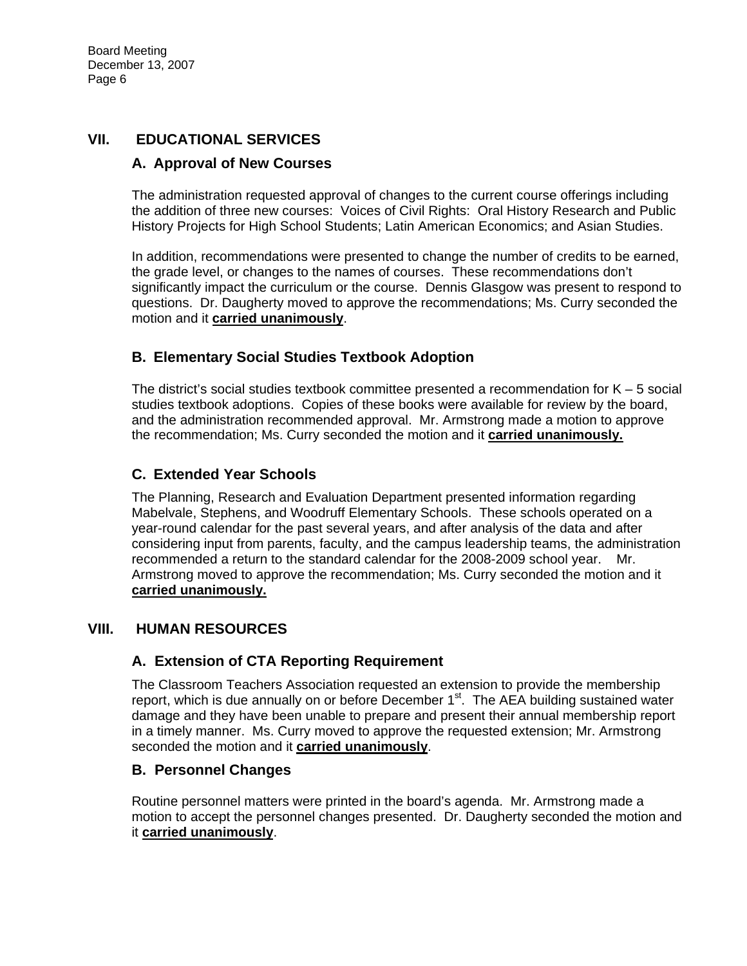# **VII. EDUCATIONAL SERVICES**

### **A. Approval of New Courses**

The administration requested approval of changes to the current course offerings including the addition of three new courses: Voices of Civil Rights: Oral History Research and Public History Projects for High School Students; Latin American Economics; and Asian Studies.

In addition, recommendations were presented to change the number of credits to be earned, the grade level, or changes to the names of courses. These recommendations don't significantly impact the curriculum or the course. Dennis Glasgow was present to respond to questions. Dr. Daugherty moved to approve the recommendations; Ms. Curry seconded the motion and it **carried unanimously**.

## **B. Elementary Social Studies Textbook Adoption**

The district's social studies textbook committee presented a recommendation for  $K - 5$  social studies textbook adoptions. Copies of these books were available for review by the board, and the administration recommended approval. Mr. Armstrong made a motion to approve the recommendation; Ms. Curry seconded the motion and it **carried unanimously.**

### **C. Extended Year Schools**

The Planning, Research and Evaluation Department presented information regarding Mabelvale, Stephens, and Woodruff Elementary Schools. These schools operated on a year-round calendar for the past several years, and after analysis of the data and after considering input from parents, faculty, and the campus leadership teams, the administration recommended a return to the standard calendar for the 2008-2009 school year. Mr. Armstrong moved to approve the recommendation; Ms. Curry seconded the motion and it **carried unanimously.**

### **VIII. HUMAN RESOURCES**

### **A. Extension of CTA Reporting Requirement**

The Classroom Teachers Association requested an extension to provide the membership report, which is due annually on or before December  $1<sup>st</sup>$ . The AEA building sustained water damage and they have been unable to prepare and present their annual membership report in a timely manner. Ms. Curry moved to approve the requested extension; Mr. Armstrong seconded the motion and it **carried unanimously**.

### **B. Personnel Changes**

Routine personnel matters were printed in the board's agenda. Mr. Armstrong made a motion to accept the personnel changes presented. Dr. Daugherty seconded the motion and it **carried unanimously**.